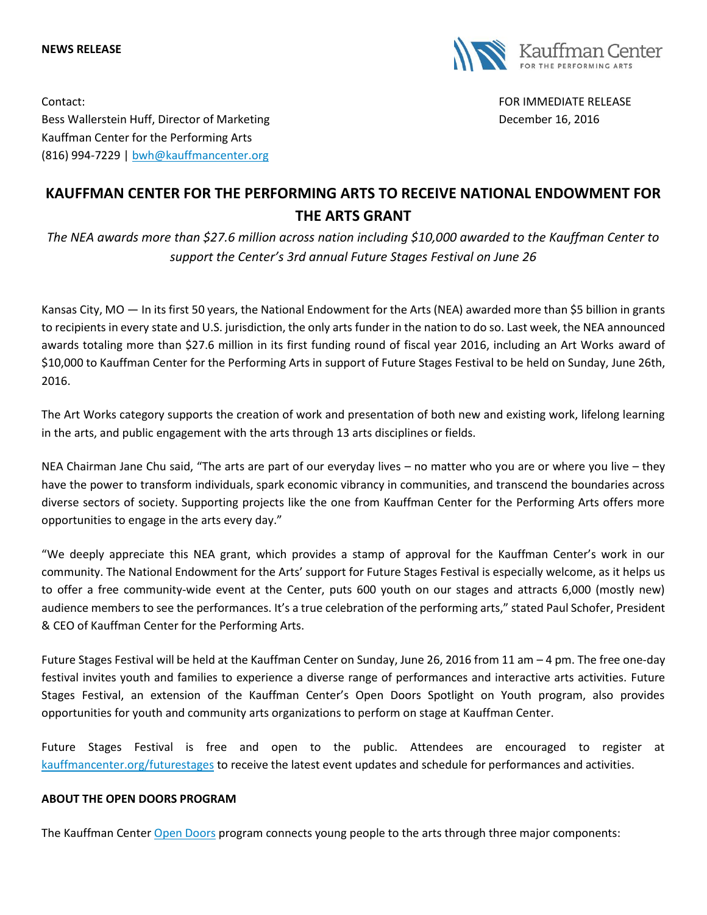## **NEWS RELEASE**



Contact: FOR IMMEDIATE RELEASE

Bess Wallerstein Huff, Director of Marketing **December 16, 2016** December 16, 2016 Kauffman Center for the Performing Arts (816) 994-7229 | [bwh@kauffmancenter.org](mailto:bwh@kauffmancenter.org)

## **KAUFFMAN CENTER FOR THE PERFORMING ARTS TO RECEIVE NATIONAL ENDOWMENT FOR THE ARTS GRANT**

*The NEA awards more than \$27.6 million across nation including \$10,000 awarded to the Kauffman Center to support the Center's 3rd annual Future Stages Festival on June 26*

Kansas City, MO — In its first 50 years, the National Endowment for the Arts (NEA) awarded more than \$5 billion in grants to recipients in every state and U.S. jurisdiction, the only arts funder in the nation to do so. Last week, the NEA announced awards totaling more than \$27.6 million in its first funding round of fiscal year 2016, including an Art Works award of \$10,000 to Kauffman Center for the Performing Arts in support of Future Stages Festival to be held on Sunday, June 26th, 2016.

The Art Works category supports the creation of work and presentation of both new and existing work, lifelong learning in the arts, and public engagement with the arts through 13 arts disciplines or fields.

NEA Chairman Jane Chu said, "The arts are part of our everyday lives – no matter who you are or where you live – they have the power to transform individuals, spark economic vibrancy in communities, and transcend the boundaries across diverse sectors of society. Supporting projects like the one from Kauffman Center for the Performing Arts offers more opportunities to engage in the arts every day."

"We deeply appreciate this NEA grant, which provides a stamp of approval for the Kauffman Center's work in our community. The National Endowment for the Arts' support for Future Stages Festival is especially welcome, as it helps us to offer a free community-wide event at the Center, puts 600 youth on our stages and attracts 6,000 (mostly new) audience members to see the performances. It's a true celebration of the performing arts," stated Paul Schofer, President & CEO of Kauffman Center for the Performing Arts.

Future Stages Festival will be held at the Kauffman Center on Sunday, June 26, 2016 from 11 am – 4 pm. The free one-day festival invites youth and families to experience a diverse range of performances and interactive arts activities. Future Stages Festival, an extension of the Kauffman Center's Open Doors Spotlight on Youth program, also provides opportunities for youth and community arts organizations to perform on stage at Kauffman Center.

Future Stages Festival is free and open to the public. Attendees are encouraged to register at [kauffmancenter.org/futurestages](https://www.kauffmancenter.org/open-doors/future-stages-festival/) to receive the latest event updates and schedule for performances and activities.

## **ABOUT THE OPEN DOORS PROGRAM**

The Kauffman Cente[r Open Doors](https://www.kauffmancenter.org/open-doors/) program connects young people to the arts through three major components: